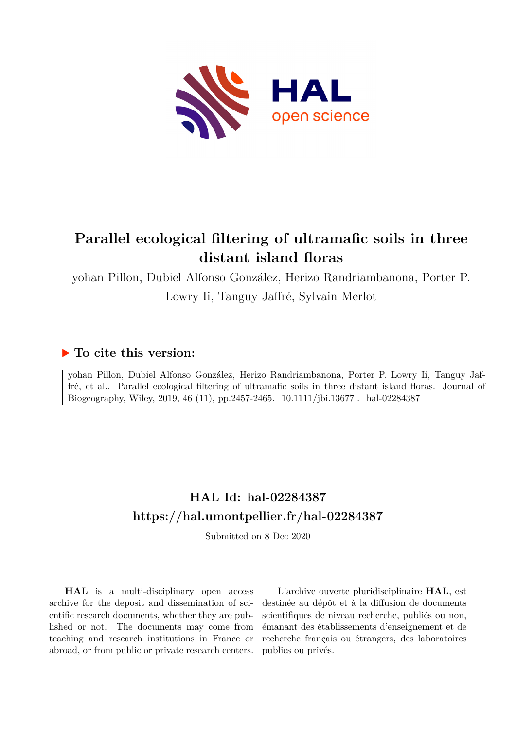

# **Parallel ecological filtering of ultramafic soils in three distant island floras**

yohan Pillon, Dubiel Alfonso González, Herizo Randriambanona, Porter P. Lowry Ii, Tanguy Jaffré, Sylvain Merlot

## **To cite this version:**

yohan Pillon, Dubiel Alfonso González, Herizo Randriambanona, Porter P. Lowry Ii, Tanguy Jaffré, et al.. Parallel ecological filtering of ultramafic soils in three distant island floras. Journal of Biogeography, Wiley, 2019, 46 (11), pp.2457-2465. 10.1111/jbi.13677. hal-02284387

## **HAL Id: hal-02284387 <https://hal.umontpellier.fr/hal-02284387>**

Submitted on 8 Dec 2020

**HAL** is a multi-disciplinary open access archive for the deposit and dissemination of scientific research documents, whether they are published or not. The documents may come from teaching and research institutions in France or abroad, or from public or private research centers.

L'archive ouverte pluridisciplinaire **HAL**, est destinée au dépôt et à la diffusion de documents scientifiques de niveau recherche, publiés ou non, émanant des établissements d'enseignement et de recherche français ou étrangers, des laboratoires publics ou privés.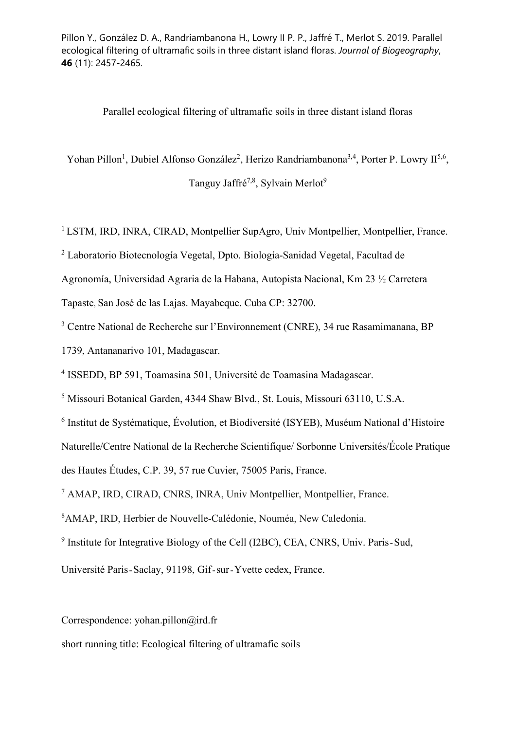Parallel ecological filtering of ultramafic soils in three distant island floras

Yohan Pillon<sup>1</sup>, Dubiel Alfonso González<sup>2</sup>, Herizo Randriambanona<sup>3,4</sup>, Porter P. Lowry II<sup>5,6</sup>,

Tanguy Jaffré<sup>7,8</sup>, Sylvain Merlot<sup>9</sup>

<sup>1</sup> LSTM, IRD, INRA, CIRAD, Montpellier SupAgro, Univ Montpellier, Montpellier, France.

<sup>2</sup> Laboratorio Biotecnología Vegetal, Dpto. Biología-Sanidad Vegetal, Facultad de

Agronomía, Universidad Agraria de la Habana, Autopista Nacional, Km 23 ½ Carretera

Tapaste, San José de las Lajas. Mayabeque. Cuba CP: 32700.

3 Centre National de Recherche sur l'Environnement (CNRE), 34 rue Rasamimanana, BP

1739, Antananarivo 101, Madagascar.

4 ISSEDD, BP 591, Toamasina 501, Université de Toamasina Madagascar.

5 Missouri Botanical Garden, 4344 Shaw Blvd., St. Louis, Missouri 63110, U.S.A.

6 Institut de Systématique, Évolution, et Biodiversité (ISYEB), Muséum National d'Histoire

Naturelle/Centre National de la Recherche Scientifique/ Sorbonne Universités/École Pratique

des Hautes Études, C.P. 39, 57 rue Cuvier, 75005 Paris, France.

7 AMAP, IRD, CIRAD, CNRS, INRA, Univ Montpellier, Montpellier, France.

8 AMAP, IRD, Herbier de Nouvelle-Calédonie, Nouméa, New Caledonia.

<sup>9</sup> Institute for Integrative Biology of the Cell (I2BC), CEA, CNRS, Univ. Paris-Sud,

Université Paris-Saclay, 91198, Gif-sur-Yvette cedex, France.

Correspondence: yohan.pillon@ird.fr

short running title: Ecological filtering of ultramafic soils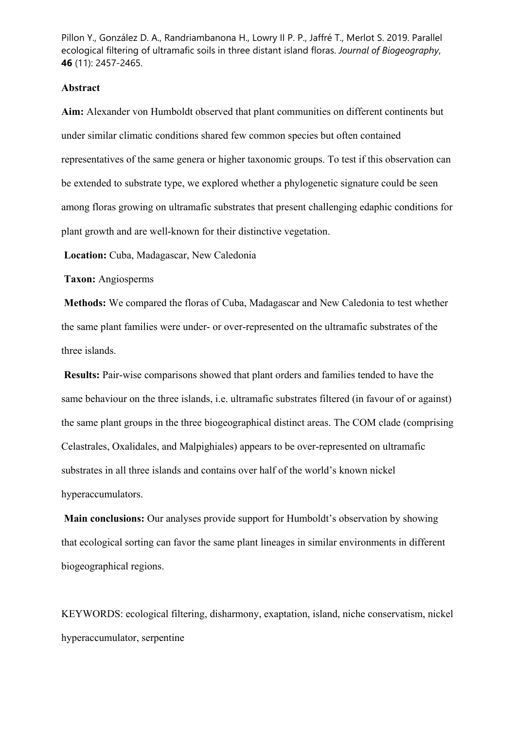#### **Abstract**

**Aim:** Alexander von Humboldt observed that plant communities on different continents but under similar climatic conditions shared few common species but often contained representatives of the same genera or higher taxonomic groups. To test if this observation can be extended to substrate type, we explored whether a phylogenetic signature could be seen among floras growing on ultramafic substrates that present challenging edaphic conditions for plant growth and are well-known for their distinctive vegetation.

**Location:** Cuba, Madagascar, New Caledonia

**Taxon:** Angiosperms

**Methods:** We compared the floras of Cuba, Madagascar and New Caledonia to test whether the same plant families were under- or over-represented on the ultramafic substrates of the three islands.

**Results:** Pair-wise comparisons showed that plant orders and families tended to have the same behaviour on the three islands, i.e. ultramafic substrates filtered (in favour of or against) the same plant groups in the three biogeographical distinct areas. The COM clade (comprising Celastrales, Oxalidales, and Malpighiales) appears to be over-represented on ultramafic substrates in all three islands and contains over half of the world's known nickel hyperaccumulators.

**Main conclusions:** Our analyses provide support for Humboldt's observation by showing that ecological sorting can favor the same plant lineages in similar environments in different biogeographical regions.

KEYWORDS: ecological filtering, disharmony, exaptation, island, niche conservatism, nickel hyperaccumulator, serpentine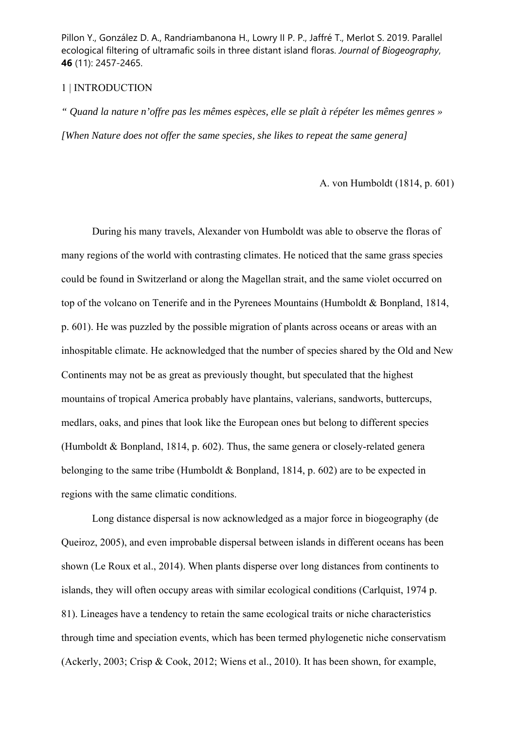#### 1 | INTRODUCTION

*" Quand la nature n'offre pas les mêmes espèces, elle se plaît à répéter les mêmes genres » [When Nature does not offer the same species, she likes to repeat the same genera]* 

A. von Humboldt (1814, p. 601)

 During his many travels, Alexander von Humboldt was able to observe the floras of many regions of the world with contrasting climates. He noticed that the same grass species could be found in Switzerland or along the Magellan strait, and the same violet occurred on top of the volcano on Tenerife and in the Pyrenees Mountains (Humboldt & Bonpland, 1814, p. 601). He was puzzled by the possible migration of plants across oceans or areas with an inhospitable climate. He acknowledged that the number of species shared by the Old and New Continents may not be as great as previously thought, but speculated that the highest mountains of tropical America probably have plantains, valerians, sandworts, buttercups, medlars, oaks, and pines that look like the European ones but belong to different species (Humboldt & Bonpland, 1814, p. 602). Thus, the same genera or closely-related genera belonging to the same tribe (Humboldt & Bonpland, 1814, p. 602) are to be expected in regions with the same climatic conditions.

Long distance dispersal is now acknowledged as a major force in biogeography (de Queiroz, 2005), and even improbable dispersal between islands in different oceans has been shown (Le Roux et al., 2014). When plants disperse over long distances from continents to islands, they will often occupy areas with similar ecological conditions (Carlquist, 1974 p. 81). Lineages have a tendency to retain the same ecological traits or niche characteristics through time and speciation events, which has been termed phylogenetic niche conservatism (Ackerly, 2003; Crisp & Cook, 2012; Wiens et al., 2010). It has been shown, for example,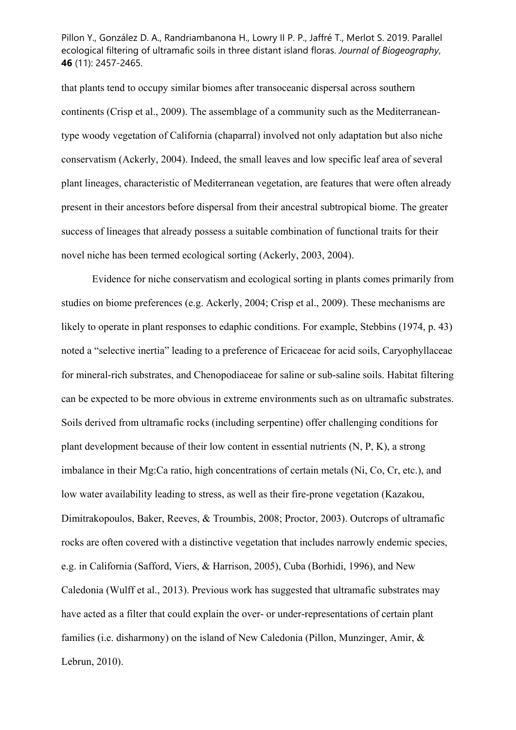that plants tend to occupy similar biomes after transoceanic dispersal across southern continents (Crisp et al., 2009). The assemblage of a community such as the Mediterraneantype woody vegetation of California (chaparral) involved not only adaptation but also niche conservatism (Ackerly, 2004). Indeed, the small leaves and low specific leaf area of several plant lineages, characteristic of Mediterranean vegetation, are features that were often already present in their ancestors before dispersal from their ancestral subtropical biome. The greater success of lineages that already possess a suitable combination of functional traits for their novel niche has been termed ecological sorting (Ackerly, 2003, 2004).

Evidence for niche conservatism and ecological sorting in plants comes primarily from studies on biome preferences (e.g. Ackerly, 2004; Crisp et al., 2009). These mechanisms are likely to operate in plant responses to edaphic conditions. For example, Stebbins (1974, p. 43) noted a "selective inertia" leading to a preference of Ericaceae for acid soils, Caryophyllaceae for mineral-rich substrates, and Chenopodiaceae for saline or sub-saline soils. Habitat filtering can be expected to be more obvious in extreme environments such as on ultramafic substrates. Soils derived from ultramafic rocks (including serpentine) offer challenging conditions for plant development because of their low content in essential nutrients (N, P, K), a strong imbalance in their Mg:Ca ratio, high concentrations of certain metals (Ni, Co, Cr, etc.), and low water availability leading to stress, as well as their fire-prone vegetation (Kazakou, Dimitrakopoulos, Baker, Reeves, & Troumbis, 2008; Proctor, 2003). Outcrops of ultramafic rocks are often covered with a distinctive vegetation that includes narrowly endemic species, e.g. in California (Safford, Viers, & Harrison, 2005), Cuba (Borhidi, 1996), and New Caledonia (Wulff et al., 2013). Previous work has suggested that ultramafic substrates may have acted as a filter that could explain the over- or under-representations of certain plant families (i.e. disharmony) on the island of New Caledonia (Pillon, Munzinger, Amir, & Lebrun, 2010).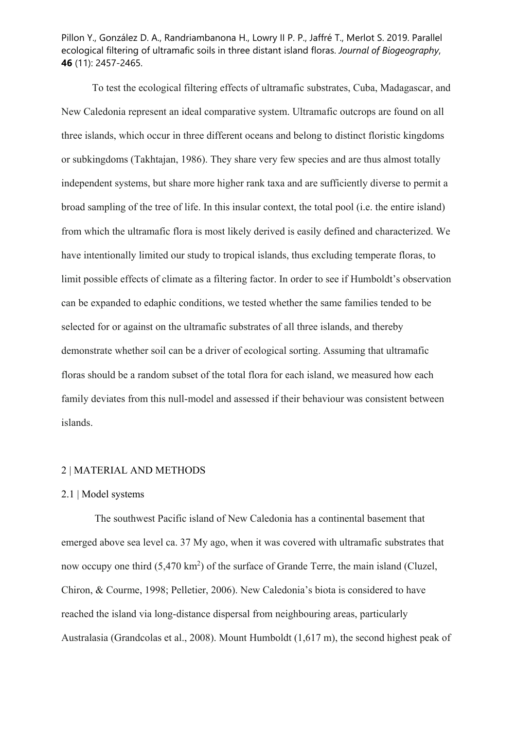To test the ecological filtering effects of ultramafic substrates, Cuba, Madagascar, and New Caledonia represent an ideal comparative system. Ultramafic outcrops are found on all three islands, which occur in three different oceans and belong to distinct floristic kingdoms or subkingdoms (Takhtajan, 1986). They share very few species and are thus almost totally independent systems, but share more higher rank taxa and are sufficiently diverse to permit a broad sampling of the tree of life. In this insular context, the total pool (i.e. the entire island) from which the ultramafic flora is most likely derived is easily defined and characterized. We have intentionally limited our study to tropical islands, thus excluding temperate floras, to limit possible effects of climate as a filtering factor. In order to see if Humboldt's observation can be expanded to edaphic conditions, we tested whether the same families tended to be selected for or against on the ultramafic substrates of all three islands, and thereby demonstrate whether soil can be a driver of ecological sorting. Assuming that ultramafic floras should be a random subset of the total flora for each island, we measured how each family deviates from this null-model and assessed if their behaviour was consistent between islands.

## 2 | MATERIAL AND METHODS

#### 2.1 | Model systems

 The southwest Pacific island of New Caledonia has a continental basement that emerged above sea level ca. 37 My ago, when it was covered with ultramafic substrates that now occupy one third  $(5,470 \text{ km}^2)$  of the surface of Grande Terre, the main island (Cluzel, Chiron, & Courme, 1998; Pelletier, 2006). New Caledonia's biota is considered to have reached the island via long-distance dispersal from neighbouring areas, particularly Australasia (Grandcolas et al., 2008). Mount Humboldt (1,617 m), the second highest peak of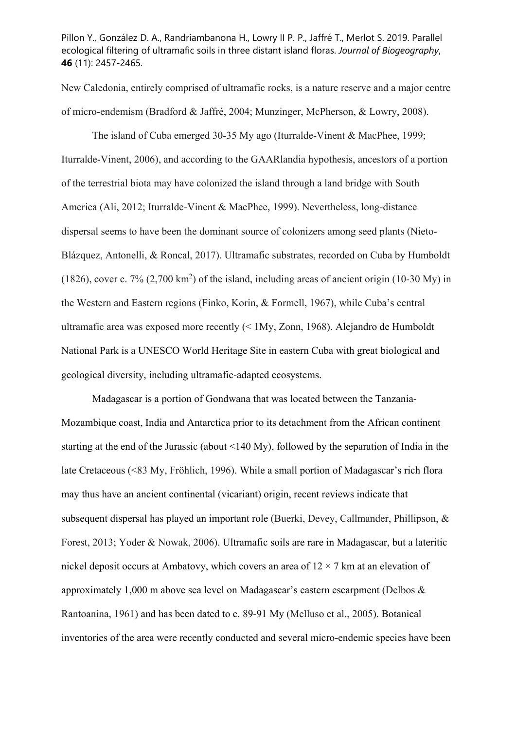New Caledonia, entirely comprised of ultramafic rocks, is a nature reserve and a major centre of micro-endemism (Bradford & Jaffré, 2004; Munzinger, McPherson, & Lowry, 2008).

The island of Cuba emerged 30-35 My ago (Iturralde-Vinent & MacPhee, 1999; Iturralde-Vinent, 2006), and according to the GAARlandia hypothesis, ancestors of a portion of the terrestrial biota may have colonized the island through a land bridge with South America (Ali, 2012; Iturralde-Vinent & MacPhee, 1999). Nevertheless, long-distance dispersal seems to have been the dominant source of colonizers among seed plants (Nieto-Blázquez, Antonelli, & Roncal, 2017). Ultramafic substrates, recorded on Cuba by Humboldt (1826), cover c.  $7\%$  (2,700 km<sup>2</sup>) of the island, including areas of ancient origin (10-30 My) in the Western and Eastern regions (Finko, Korin, & Formell, 1967), while Cuba's central ultramafic area was exposed more recently (< 1My, Zonn, 1968). Alejandro de Humboldt National Park is a UNESCO World Heritage Site in eastern Cuba with great biological and geological diversity, including ultramafic-adapted ecosystems.

Madagascar is a portion of Gondwana that was located between the Tanzania-Mozambique coast, India and Antarctica prior to its detachment from the African continent starting at the end of the Jurassic (about <140 My), followed by the separation of India in the late Cretaceous (<83 My, Fröhlich, 1996). While a small portion of Madagascar's rich flora may thus have an ancient continental (vicariant) origin, recent reviews indicate that subsequent dispersal has played an important role (Buerki, Devey, Callmander, Phillipson, & Forest, 2013; Yoder & Nowak, 2006). Ultramafic soils are rare in Madagascar, but a lateritic nickel deposit occurs at Ambatovy, which covers an area of  $12 \times 7$  km at an elevation of approximately 1,000 m above sea level on Madagascar's eastern escarpment (Delbos & Rantoanina, 1961) and has been dated to c. 89-91 My (Melluso et al., 2005). Botanical inventories of the area were recently conducted and several micro-endemic species have been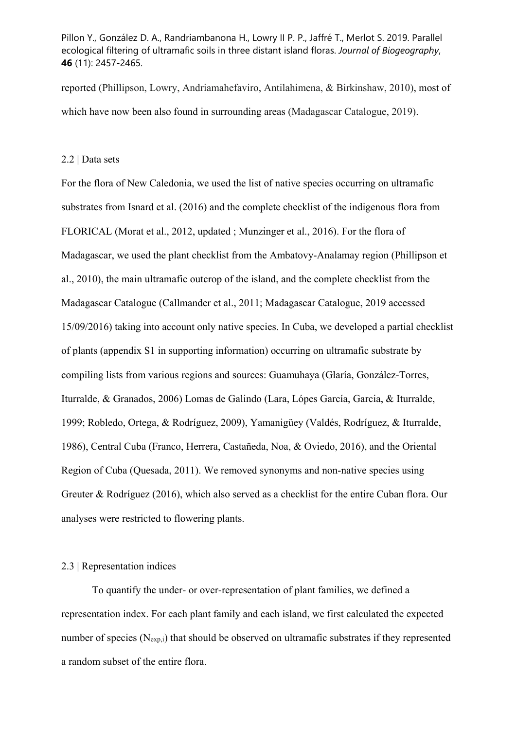reported (Phillipson, Lowry, Andriamahefaviro, Antilahimena, & Birkinshaw, 2010), most of which have now been also found in surrounding areas (Madagascar Catalogue, 2019).

## 2.2 | Data sets

For the flora of New Caledonia, we used the list of native species occurring on ultramafic substrates from Isnard et al. (2016) and the complete checklist of the indigenous flora from FLORICAL (Morat et al., 2012, updated ; Munzinger et al., 2016). For the flora of Madagascar, we used the plant checklist from the Ambatovy-Analamay region (Phillipson et al., 2010), the main ultramafic outcrop of the island, and the complete checklist from the Madagascar Catalogue (Callmander et al., 2011; Madagascar Catalogue, 2019 accessed 15/09/2016) taking into account only native species. In Cuba, we developed a partial checklist of plants (appendix S1 in supporting information) occurring on ultramafic substrate by compiling lists from various regions and sources: Guamuhaya (Glaría, González-Torres, Iturralde, & Granados, 2006) Lomas de Galindo (Lara, Lópes García, Garcia, & Iturralde, 1999; Robledo, Ortega, & Rodríguez, 2009), Yamanigüey (Valdés, Rodríguez, & Iturralde, 1986), Central Cuba (Franco, Herrera, Castañeda, Noa, & Oviedo, 2016), and the Oriental Region of Cuba (Quesada, 2011). We removed synonyms and non-native species using Greuter & Rodríguez (2016), which also served as a checklist for the entire Cuban flora. Our analyses were restricted to flowering plants.

## 2.3 | Representation indices

To quantify the under- or over-representation of plant families, we defined a representation index. For each plant family and each island, we first calculated the expected number of species  $(N_{exp,i})$  that should be observed on ultramafic substrates if they represented a random subset of the entire flora.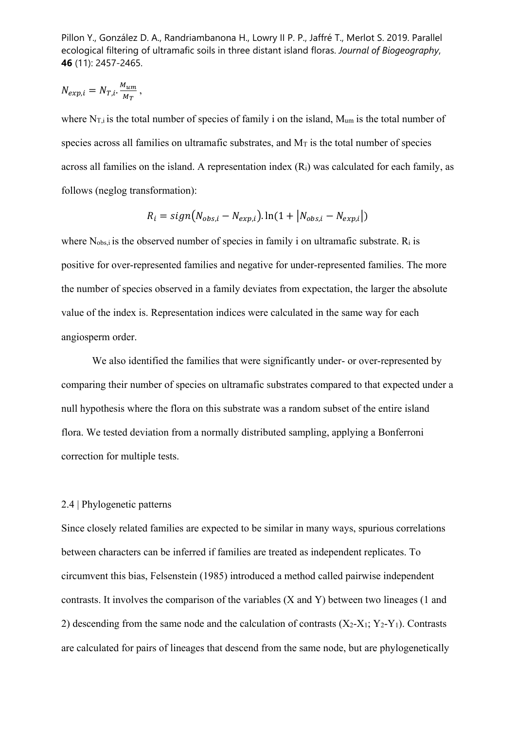$$
N_{exp,i} = N_{T,i} \cdot \frac{M_{um}}{M_T} \,,
$$

where  $N_{\text{Li}}$  is the total number of species of family i on the island,  $M_{\text{um}}$  is the total number of species across all families on ultramafic substrates, and  $M<sub>T</sub>$  is the total number of species across all families on the island. A representation index (Ri) was calculated for each family, as follows (neglog transformation):

$$
R_i = sign(N_{obs,i} - N_{exp,i}).\ln(1 + |N_{obs,i} - N_{exp,i}|)
$$

where  $N_{obs,i}$  is the observed number of species in family i on ultramafic substrate.  $R_i$  is positive for over-represented families and negative for under-represented families. The more the number of species observed in a family deviates from expectation, the larger the absolute value of the index is. Representation indices were calculated in the same way for each angiosperm order.

 We also identified the families that were significantly under- or over-represented by comparing their number of species on ultramafic substrates compared to that expected under a null hypothesis where the flora on this substrate was a random subset of the entire island flora. We tested deviation from a normally distributed sampling, applying a Bonferroni correction for multiple tests.

#### 2.4 | Phylogenetic patterns

Since closely related families are expected to be similar in many ways, spurious correlations between characters can be inferred if families are treated as independent replicates. To circumvent this bias, Felsenstein (1985) introduced a method called pairwise independent contrasts. It involves the comparison of the variables (X and Y) between two lineages (1 and 2) descending from the same node and the calculation of contrasts  $(X_2-X_1; Y_2-Y_1)$ . Contrasts are calculated for pairs of lineages that descend from the same node, but are phylogenetically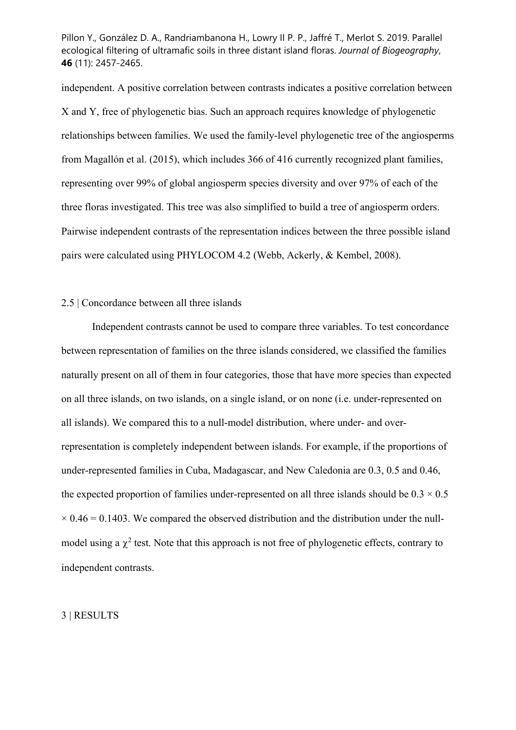independent. A positive correlation between contrasts indicates a positive correlation between X and Y, free of phylogenetic bias. Such an approach requires knowledge of phylogenetic relationships between families. We used the family-level phylogenetic tree of the angiosperms from Magallón et al. (2015), which includes 366 of 416 currently recognized plant families, representing over 99% of global angiosperm species diversity and over 97% of each of the three floras investigated. This tree was also simplified to build a tree of angiosperm orders. Pairwise independent contrasts of the representation indices between the three possible island pairs were calculated using PHYLOCOM 4.2 (Webb, Ackerly, & Kembel, 2008).

## 2.5 | Concordance between all three islands

 Independent contrasts cannot be used to compare three variables. To test concordance between representation of families on the three islands considered, we classified the families naturally present on all of them in four categories, those that have more species than expected on all three islands, on two islands, on a single island, or on none (i.e. under-represented on all islands). We compared this to a null-model distribution, where under- and overrepresentation is completely independent between islands. For example, if the proportions of under-represented families in Cuba, Madagascar, and New Caledonia are 0.3, 0.5 and 0.46, the expected proportion of families under-represented on all three islands should be  $0.3 \times 0.5$  $\times$  0.46 = 0.1403. We compared the observed distribution and the distribution under the nullmodel using a  $\chi^2$  test. Note that this approach is not free of phylogenetic effects, contrary to independent contrasts.

### 3 | RESULTS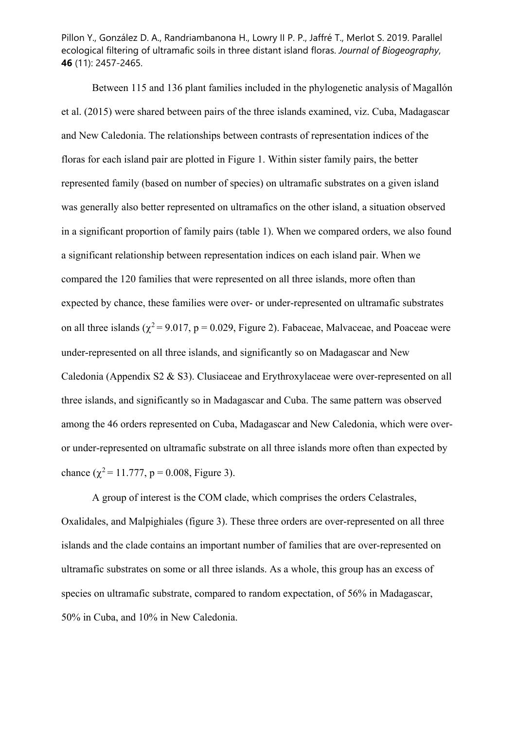Between 115 and 136 plant families included in the phylogenetic analysis of Magallón et al. (2015) were shared between pairs of the three islands examined, viz. Cuba, Madagascar and New Caledonia. The relationships between contrasts of representation indices of the floras for each island pair are plotted in Figure 1. Within sister family pairs, the better represented family (based on number of species) on ultramafic substrates on a given island was generally also better represented on ultramafics on the other island, a situation observed in a significant proportion of family pairs (table 1). When we compared orders, we also found a significant relationship between representation indices on each island pair. When we compared the 120 families that were represented on all three islands, more often than expected by chance, these families were over- or under-represented on ultramafic substrates on all three islands ( $\chi^2$  = 9.017, p = 0.029, Figure 2). Fabaceae, Malvaceae, and Poaceae were under-represented on all three islands, and significantly so on Madagascar and New Caledonia (Appendix S2 & S3). Clusiaceae and Erythroxylaceae were over-represented on all three islands, and significantly so in Madagascar and Cuba. The same pattern was observed among the 46 orders represented on Cuba, Madagascar and New Caledonia, which were overor under-represented on ultramafic substrate on all three islands more often than expected by chance ( $\chi^2$  = 11.777, p = 0.008, Figure 3).

A group of interest is the COM clade, which comprises the orders Celastrales, Oxalidales, and Malpighiales (figure 3). These three orders are over-represented on all three islands and the clade contains an important number of families that are over-represented on ultramafic substrates on some or all three islands. As a whole, this group has an excess of species on ultramafic substrate, compared to random expectation, of 56% in Madagascar, 50% in Cuba, and 10% in New Caledonia.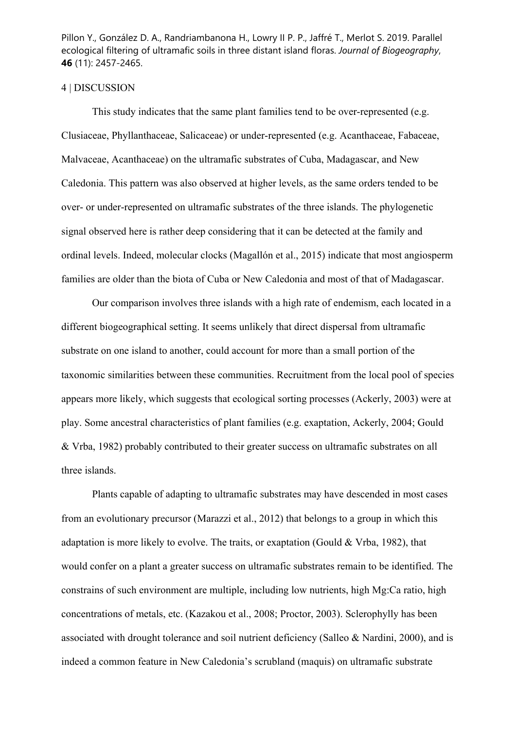#### 4 | DISCUSSION

This study indicates that the same plant families tend to be over-represented (e.g. Clusiaceae, Phyllanthaceae, Salicaceae) or under-represented (e.g. Acanthaceae, Fabaceae, Malvaceae, Acanthaceae) on the ultramafic substrates of Cuba, Madagascar, and New Caledonia. This pattern was also observed at higher levels, as the same orders tended to be over- or under-represented on ultramafic substrates of the three islands. The phylogenetic signal observed here is rather deep considering that it can be detected at the family and ordinal levels. Indeed, molecular clocks (Magallón et al., 2015) indicate that most angiosperm families are older than the biota of Cuba or New Caledonia and most of that of Madagascar.

Our comparison involves three islands with a high rate of endemism, each located in a different biogeographical setting. It seems unlikely that direct dispersal from ultramafic substrate on one island to another, could account for more than a small portion of the taxonomic similarities between these communities. Recruitment from the local pool of species appears more likely, which suggests that ecological sorting processes (Ackerly, 2003) were at play. Some ancestral characteristics of plant families (e.g. exaptation, Ackerly, 2004; Gould & Vrba, 1982) probably contributed to their greater success on ultramafic substrates on all three islands.

Plants capable of adapting to ultramafic substrates may have descended in most cases from an evolutionary precursor (Marazzi et al., 2012) that belongs to a group in which this adaptation is more likely to evolve. The traits, or exaptation (Gould & Vrba, 1982), that would confer on a plant a greater success on ultramafic substrates remain to be identified. The constrains of such environment are multiple, including low nutrients, high Mg:Ca ratio, high concentrations of metals, etc. (Kazakou et al., 2008; Proctor, 2003). Sclerophylly has been associated with drought tolerance and soil nutrient deficiency (Salleo & Nardini, 2000), and is indeed a common feature in New Caledonia's scrubland (maquis) on ultramafic substrate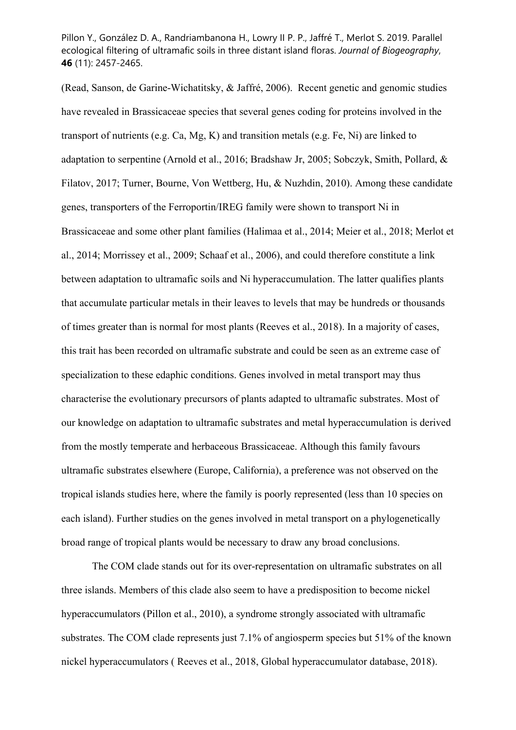(Read, Sanson, de Garine-Wichatitsky, & Jaffré, 2006). Recent genetic and genomic studies have revealed in Brassicaceae species that several genes coding for proteins involved in the transport of nutrients (e.g. Ca, Mg, K) and transition metals (e.g. Fe, Ni) are linked to adaptation to serpentine (Arnold et al., 2016; Bradshaw Jr, 2005; Sobczyk, Smith, Pollard, & Filatov, 2017; Turner, Bourne, Von Wettberg, Hu, & Nuzhdin, 2010). Among these candidate genes, transporters of the Ferroportin/IREG family were shown to transport Ni in Brassicaceae and some other plant families (Halimaa et al., 2014; Meier et al., 2018; Merlot et al., 2014; Morrissey et al., 2009; Schaaf et al., 2006), and could therefore constitute a link between adaptation to ultramafic soils and Ni hyperaccumulation. The latter qualifies plants that accumulate particular metals in their leaves to levels that may be hundreds or thousands of times greater than is normal for most plants (Reeves et al., 2018). In a majority of cases, this trait has been recorded on ultramafic substrate and could be seen as an extreme case of specialization to these edaphic conditions. Genes involved in metal transport may thus characterise the evolutionary precursors of plants adapted to ultramafic substrates. Most of our knowledge on adaptation to ultramafic substrates and metal hyperaccumulation is derived from the mostly temperate and herbaceous Brassicaceae. Although this family favours ultramafic substrates elsewhere (Europe, California), a preference was not observed on the tropical islands studies here, where the family is poorly represented (less than 10 species on each island). Further studies on the genes involved in metal transport on a phylogenetically broad range of tropical plants would be necessary to draw any broad conclusions.

The COM clade stands out for its over-representation on ultramafic substrates on all three islands. Members of this clade also seem to have a predisposition to become nickel hyperaccumulators (Pillon et al., 2010), a syndrome strongly associated with ultramafic substrates. The COM clade represents just 7.1% of angiosperm species but 51% of the known nickel hyperaccumulators ( Reeves et al., 2018, Global hyperaccumulator database, 2018).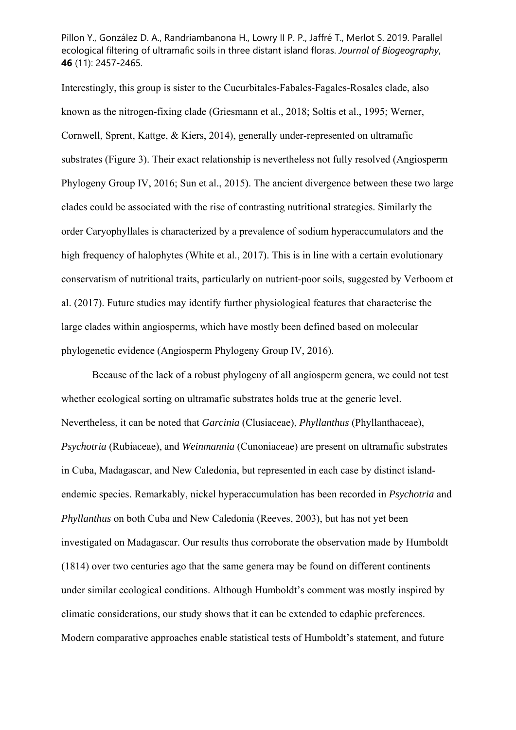Interestingly, this group is sister to the Cucurbitales-Fabales-Fagales-Rosales clade, also known as the nitrogen-fixing clade (Griesmann et al., 2018; Soltis et al., 1995; Werner, Cornwell, Sprent, Kattge, & Kiers, 2014), generally under-represented on ultramafic substrates (Figure 3). Their exact relationship is nevertheless not fully resolved (Angiosperm Phylogeny Group IV, 2016; Sun et al., 2015). The ancient divergence between these two large clades could be associated with the rise of contrasting nutritional strategies. Similarly the order Caryophyllales is characterized by a prevalence of sodium hyperaccumulators and the high frequency of halophytes (White et al., 2017). This is in line with a certain evolutionary conservatism of nutritional traits, particularly on nutrient-poor soils, suggested by Verboom et al. (2017). Future studies may identify further physiological features that characterise the large clades within angiosperms, which have mostly been defined based on molecular phylogenetic evidence (Angiosperm Phylogeny Group IV, 2016).

Because of the lack of a robust phylogeny of all angiosperm genera, we could not test whether ecological sorting on ultramafic substrates holds true at the generic level. Nevertheless, it can be noted that *Garcinia* (Clusiaceae), *Phyllanthus* (Phyllanthaceae), *Psychotria* (Rubiaceae), and *Weinmannia* (Cunoniaceae) are present on ultramafic substrates in Cuba, Madagascar, and New Caledonia, but represented in each case by distinct islandendemic species. Remarkably, nickel hyperaccumulation has been recorded in *Psychotria* and *Phyllanthus* on both Cuba and New Caledonia (Reeves, 2003), but has not yet been investigated on Madagascar. Our results thus corroborate the observation made by Humboldt (1814) over two centuries ago that the same genera may be found on different continents under similar ecological conditions. Although Humboldt's comment was mostly inspired by climatic considerations, our study shows that it can be extended to edaphic preferences. Modern comparative approaches enable statistical tests of Humboldt's statement, and future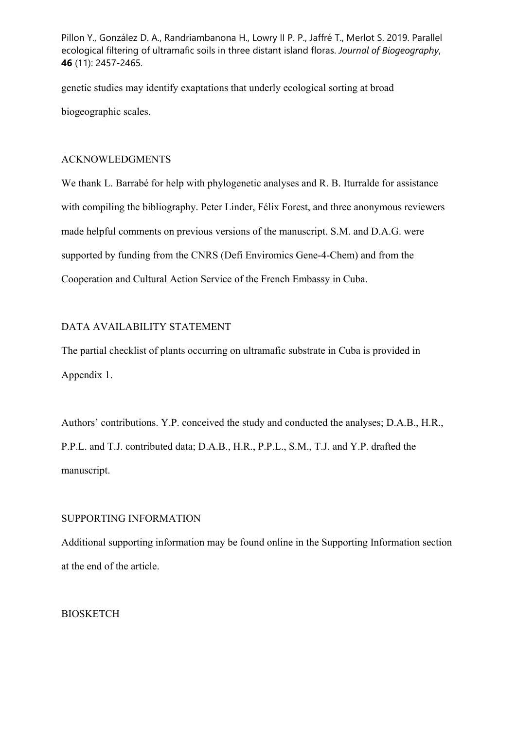genetic studies may identify exaptations that underly ecological sorting at broad biogeographic scales.

## ACKNOWLEDGMENTS

We thank L. Barrabé for help with phylogenetic analyses and R. B. Iturralde for assistance with compiling the bibliography. Peter Linder, Félix Forest, and three anonymous reviewers made helpful comments on previous versions of the manuscript. S.M. and D.A.G. were supported by funding from the CNRS (Defi Enviromics Gene-4-Chem) and from the Cooperation and Cultural Action Service of the French Embassy in Cuba.

## DATA AVAILABILITY STATEMENT

The partial checklist of plants occurring on ultramafic substrate in Cuba is provided in Appendix 1.

Authors' contributions. Y.P. conceived the study and conducted the analyses; D.A.B., H.R., P.P.L. and T.J. contributed data; D.A.B., H.R., P.P.L., S.M., T.J. and Y.P. drafted the manuscript.

## SUPPORTING INFORMATION

Additional supporting information may be found online in the Supporting Information section at the end of the article.

## BIOSKETCH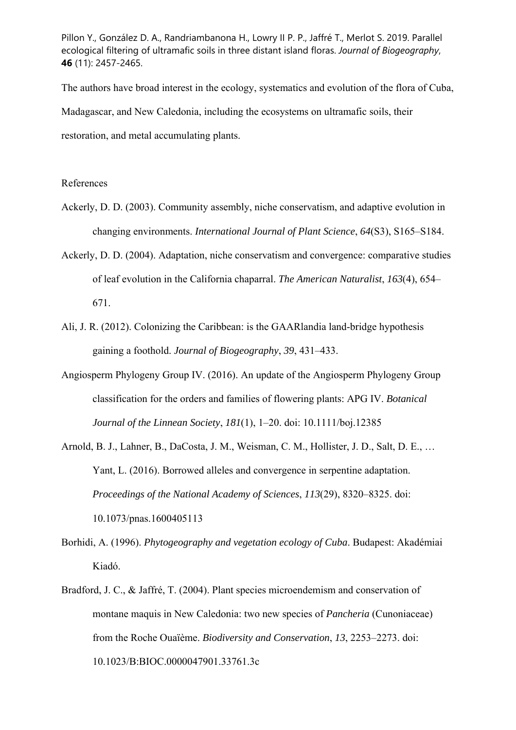The authors have broad interest in the ecology, systematics and evolution of the flora of Cuba, Madagascar, and New Caledonia, including the ecosystems on ultramafic soils, their restoration, and metal accumulating plants.

#### References

- Ackerly, D. D. (2003). Community assembly, niche conservatism, and adaptive evolution in changing environments. *International Journal of Plant Science*, *64*(S3), S165–S184.
- Ackerly, D. D. (2004). Adaptation, niche conservatism and convergence: comparative studies of leaf evolution in the California chaparral. *The American Naturalist*, *163*(4), 654– 671.
- Ali, J. R. (2012). Colonizing the Caribbean: is the GAARlandia land-bridge hypothesis gaining a foothold. *Journal of Biogeography*, *39*, 431–433.
- Angiosperm Phylogeny Group IV. (2016). An update of the Angiosperm Phylogeny Group classification for the orders and families of flowering plants: APG IV. *Botanical Journal of the Linnean Society*, *181*(1), 1–20. doi: 10.1111/boj.12385
- Arnold, B. J., Lahner, B., DaCosta, J. M., Weisman, C. M., Hollister, J. D., Salt, D. E., … Yant, L. (2016). Borrowed alleles and convergence in serpentine adaptation. *Proceedings of the National Academy of Sciences*, *113*(29), 8320–8325. doi: 10.1073/pnas.1600405113
- Borhidi, A. (1996). *Phytogeography and vegetation ecology of Cuba*. Budapest: Akadémiai Kiadó.
- Bradford, J. C., & Jaffré, T. (2004). Plant species microendemism and conservation of montane maquis in New Caledonia: two new species of *Pancheria* (Cunoniaceae) from the Roche Ouaïème. *Biodiversity and Conservation*, *13*, 2253–2273. doi: 10.1023/B:BIOC.0000047901.33761.3c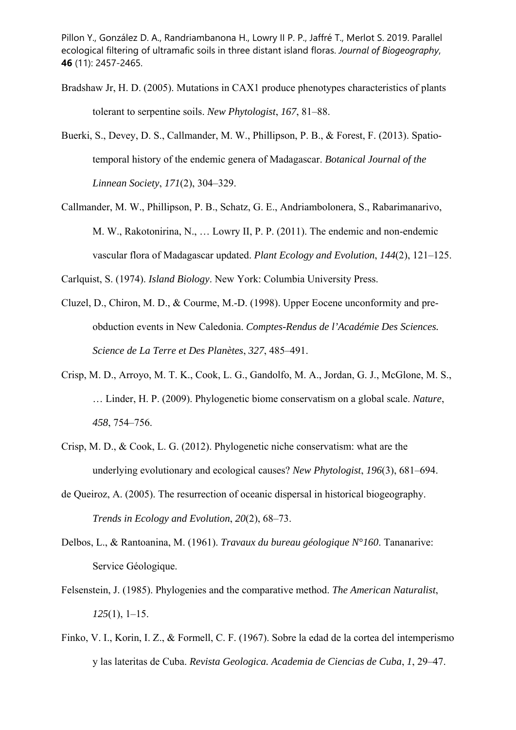- Bradshaw Jr, H. D. (2005). Mutations in CAX1 produce phenotypes characteristics of plants tolerant to serpentine soils. *New Phytologist*, *167*, 81–88.
- Buerki, S., Devey, D. S., Callmander, M. W., Phillipson, P. B., & Forest, F. (2013). Spatiotemporal history of the endemic genera of Madagascar. *Botanical Journal of the Linnean Society*, *171*(2), 304–329.
- Callmander, M. W., Phillipson, P. B., Schatz, G. E., Andriambolonera, S., Rabarimanarivo, M. W., Rakotonirina, N., … Lowry II, P. P. (2011). The endemic and non-endemic vascular flora of Madagascar updated. *Plant Ecology and Evolution*, *144*(2), 121–125.

Carlquist, S. (1974). *Island Biology*. New York: Columbia University Press.

- Cluzel, D., Chiron, M. D., & Courme, M.-D. (1998). Upper Eocene unconformity and preobduction events in New Caledonia. *Comptes-Rendus de l'Académie Des Sciences. Science de La Terre et Des Planètes*, *327*, 485–491.
- Crisp, M. D., Arroyo, M. T. K., Cook, L. G., Gandolfo, M. A., Jordan, G. J., McGlone, M. S., … Linder, H. P. (2009). Phylogenetic biome conservatism on a global scale. *Nature*, *458*, 754–756.
- Crisp, M. D., & Cook, L. G. (2012). Phylogenetic niche conservatism: what are the underlying evolutionary and ecological causes? *New Phytologist*, *196*(3), 681–694.
- de Queiroz, A. (2005). The resurrection of oceanic dispersal in historical biogeography. *Trends in Ecology and Evolution*, *20*(2), 68–73.
- Delbos, L., & Rantoanina, M. (1961). *Travaux du bureau géologique N°160*. Tananarive: Service Géologique.
- Felsenstein, J. (1985). Phylogenies and the comparative method. *The American Naturalist*, *125*(1), 1–15.
- Finko, V. I., Korin, I. Z., & Formell, C. F. (1967). Sobre la edad de la cortea del intemperismo y las lateritas de Cuba. *Revista Geologica. Academia de Ciencias de Cuba*, *1*, 29–47.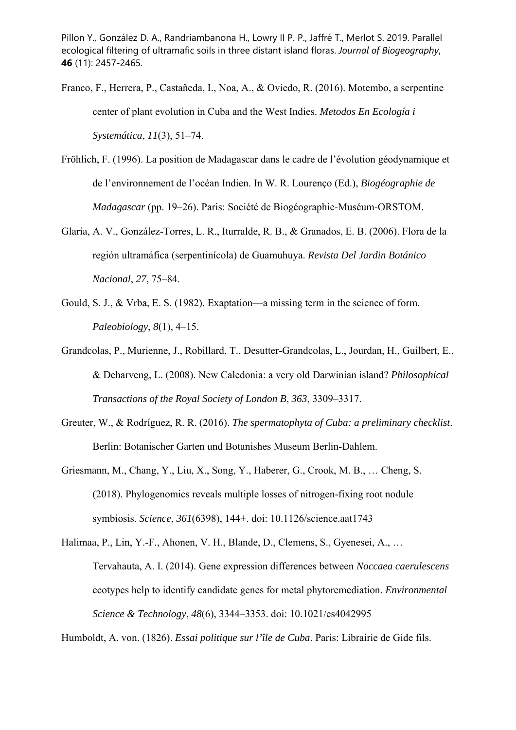- Franco, F., Herrera, P., Castañeda, I., Noa, A., & Oviedo, R. (2016). Motembo, a serpentine center of plant evolution in Cuba and the West Indies. *Metodos En Ecología i Systemática*, *11*(3), 51–74.
- Fröhlich, F. (1996). La position de Madagascar dans le cadre de l'évolution géodynamique et de l'environnement de l'océan Indien. In W. R. Lourenço (Ed.), *Biogéographie de Madagascar* (pp. 19–26). Paris: Société de Biogéographie-Muséum-ORSTOM.
- Glaría, A. V., González-Torres, L. R., Iturralde, R. B., & Granados, E. B. (2006). Flora de la región ultramáfica (serpentinícola) de Guamuhuya. *Revista Del Jardin Botánico Nacional*, *27*, 75–84.
- Gould, S. J., & Vrba, E. S. (1982). Exaptation—a missing term in the science of form. *Paleobiology*, *8*(1), 4–15.
- Grandcolas, P., Murienne, J., Robillard, T., Desutter-Grandcolas, L., Jourdan, H., Guilbert, E., & Deharveng, L. (2008). New Caledonia: a very old Darwinian island? *Philosophical Transactions of the Royal Society of London B*, *363*, 3309–3317.
- Greuter, W., & Rodríguez, R. R. (2016). *The spermatophyta of Cuba: a preliminary checklist*. Berlin: Botanischer Garten und Botanishes Museum Berlin-Dahlem.
- Griesmann, M., Chang, Y., Liu, X., Song, Y., Haberer, G., Crook, M. B., … Cheng, S. (2018). Phylogenomics reveals multiple losses of nitrogen-fixing root nodule symbiosis. *Science*, *361*(6398), 144+. doi: 10.1126/science.aat1743
- Halimaa, P., Lin, Y.-F., Ahonen, V. H., Blande, D., Clemens, S., Gyenesei, A., … Tervahauta, A. I. (2014). Gene expression differences between *Noccaea caerulescens* ecotypes help to identify candidate genes for metal phytoremediation. *Environmental Science & Technology*, *48*(6), 3344–3353. doi: 10.1021/es4042995

Humboldt, A. von. (1826). *Essai politique sur l'île de Cuba*. Paris: Librairie de Gide fils.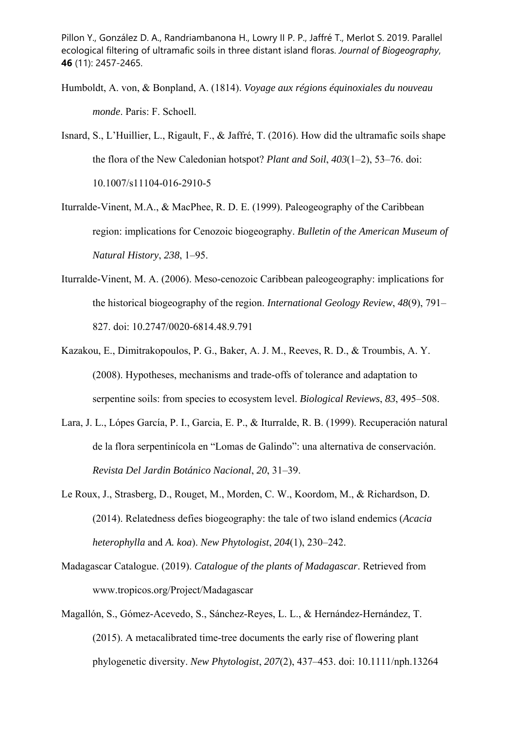- Humboldt, A. von, & Bonpland, A. (1814). *Voyage aux régions équinoxiales du nouveau monde*. Paris: F. Schoell.
- Isnard, S., L'Huillier, L., Rigault, F., & Jaffré, T. (2016). How did the ultramafic soils shape the flora of the New Caledonian hotspot? *Plant and Soil*, *403*(1–2), 53–76. doi: 10.1007/s11104-016-2910-5
- Iturralde-Vinent, M.A., & MacPhee, R. D. E. (1999). Paleogeography of the Caribbean region: implications for Cenozoic biogeography. *Bulletin of the American Museum of Natural History*, *238*, 1–95.
- Iturralde-Vinent, M. A. (2006). Meso-cenozoic Caribbean paleogeography: implications for the historical biogeography of the region. *International Geology Review*, *48*(9), 791– 827. doi: 10.2747/0020-6814.48.9.791
- Kazakou, E., Dimitrakopoulos, P. G., Baker, A. J. M., Reeves, R. D., & Troumbis, A. Y. (2008). Hypotheses, mechanisms and trade-offs of tolerance and adaptation to serpentine soils: from species to ecosystem level. *Biological Reviews*, *83*, 495–508.
- Lara, J. L., Lópes García, P. I., Garcia, E. P., & Iturralde, R. B. (1999). Recuperación natural de la flora serpentinícola en "Lomas de Galindo": una alternativa de conservación. *Revista Del Jardin Botánico Nacional*, *20*, 31–39.
- Le Roux, J., Strasberg, D., Rouget, M., Morden, C. W., Koordom, M., & Richardson, D. (2014). Relatedness defies biogeography: the tale of two island endemics (*Acacia heterophylla* and *A. koa*). *New Phytologist*, *204*(1), 230–242.
- Madagascar Catalogue. (2019). *Catalogue of the plants of Madagascar*. Retrieved from www.tropicos.org/Project/Madagascar
- Magallón, S., Gómez-Acevedo, S., Sánchez-Reyes, L. L., & Hernández-Hernández, T. (2015). A metacalibrated time-tree documents the early rise of flowering plant phylogenetic diversity. *New Phytologist*, *207*(2), 437–453. doi: 10.1111/nph.13264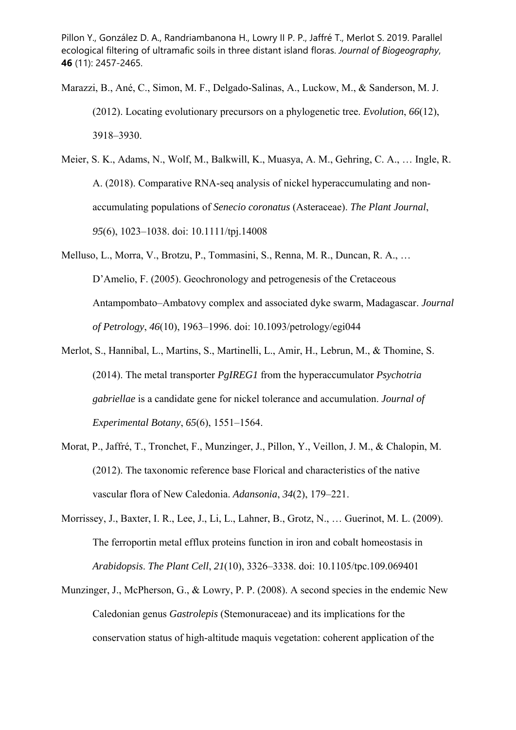- Marazzi, B., Ané, C., Simon, M. F., Delgado-Salinas, A., Luckow, M., & Sanderson, M. J. (2012). Locating evolutionary precursors on a phylogenetic tree. *Evolution*, *66*(12), 3918–3930.
- Meier, S. K., Adams, N., Wolf, M., Balkwill, K., Muasya, A. M., Gehring, C. A., … Ingle, R. A. (2018). Comparative RNA-seq analysis of nickel hyperaccumulating and nonaccumulating populations of *Senecio coronatus* (Asteraceae). *The Plant Journal*, *95*(6), 1023–1038. doi: 10.1111/tpj.14008
- Melluso, L., Morra, V., Brotzu, P., Tommasini, S., Renna, M. R., Duncan, R. A., … D'Amelio, F. (2005). Geochronology and petrogenesis of the Cretaceous Antampombato–Ambatovy complex and associated dyke swarm, Madagascar. *Journal of Petrology*, *46*(10), 1963–1996. doi: 10.1093/petrology/egi044
- Merlot, S., Hannibal, L., Martins, S., Martinelli, L., Amir, H., Lebrun, M., & Thomine, S. (2014). The metal transporter *PgIREG1* from the hyperaccumulator *Psychotria gabriellae* is a candidate gene for nickel tolerance and accumulation. *Journal of Experimental Botany*, *65*(6), 1551–1564.
- Morat, P., Jaffré, T., Tronchet, F., Munzinger, J., Pillon, Y., Veillon, J. M., & Chalopin, M. (2012). The taxonomic reference base Florical and characteristics of the native vascular flora of New Caledonia. *Adansonia*, *34*(2), 179–221.
- Morrissey, J., Baxter, I. R., Lee, J., Li, L., Lahner, B., Grotz, N., … Guerinot, M. L. (2009). The ferroportin metal efflux proteins function in iron and cobalt homeostasis in *Arabidopsis*. *The Plant Cell*, *21*(10), 3326–3338. doi: 10.1105/tpc.109.069401
- Munzinger, J., McPherson, G., & Lowry, P. P. (2008). A second species in the endemic New Caledonian genus *Gastrolepis* (Stemonuraceae) and its implications for the conservation status of high-altitude maquis vegetation: coherent application of the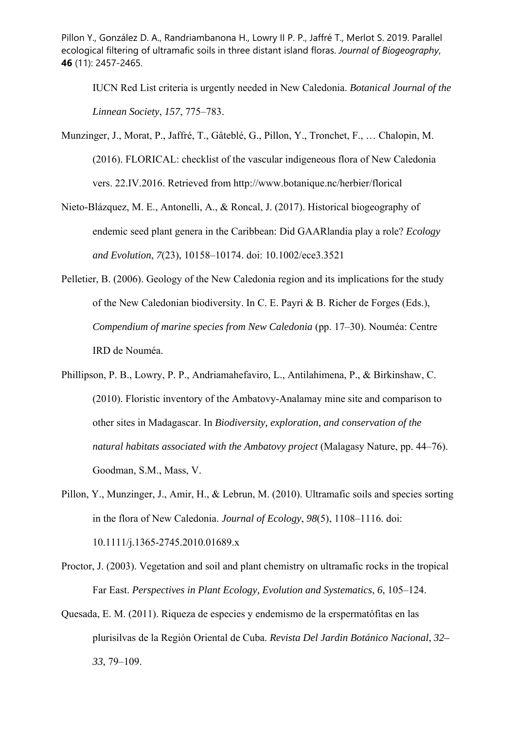IUCN Red List criteria is urgently needed in New Caledonia. *Botanical Journal of the Linnean Society*, *157*, 775–783.

- Munzinger, J., Morat, P., Jaffré, T., Gâteblé, G., Pillon, Y., Tronchet, F., … Chalopin, M. (2016). FLORICAL: checklist of the vascular indigeneous flora of New Caledonia vers. 22.IV.2016. Retrieved from http://www.botanique.nc/herbier/florical
- Nieto-Blázquez, M. E., Antonelli, A., & Roncal, J. (2017). Historical biogeography of endemic seed plant genera in the Caribbean: Did GAARlandia play a role? *Ecology and Evolution*, *7*(23), 10158–10174. doi: 10.1002/ece3.3521
- Pelletier, B. (2006). Geology of the New Caledonia region and its implications for the study of the New Caledonian biodiversity. In C. E. Payri & B. Richer de Forges (Eds.), *Compendium of marine species from New Caledonia* (pp. 17–30). Nouméa: Centre IRD de Nouméa.
- Phillipson, P. B., Lowry, P. P., Andriamahefaviro, L., Antilahimena, P., & Birkinshaw, C. (2010). Floristic inventory of the Ambatovy-Analamay mine site and comparison to other sites in Madagascar. In *Biodiversity, exploration, and conservation of the natural habitats associated with the Ambatovy project* (Malagasy Nature, pp. 44–76). Goodman, S.M., Mass, V.
- Pillon, Y., Munzinger, J., Amir, H., & Lebrun, M. (2010). Ultramafic soils and species sorting in the flora of New Caledonia. *Journal of Ecology*, *98*(5), 1108–1116. doi: 10.1111/j.1365-2745.2010.01689.x
- Proctor, J. (2003). Vegetation and soil and plant chemistry on ultramafic rocks in the tropical Far East. *Perspectives in Plant Ecology, Evolution and Systematics*, *6*, 105–124.
- Quesada, E. M. (2011). Riqueza de especies y endemismo de la erspermatófitas en las plurisilvas de la Región Oriental de Cuba. *Revista Del Jardin Botánico Nacional*, *32– 33*, 79–109.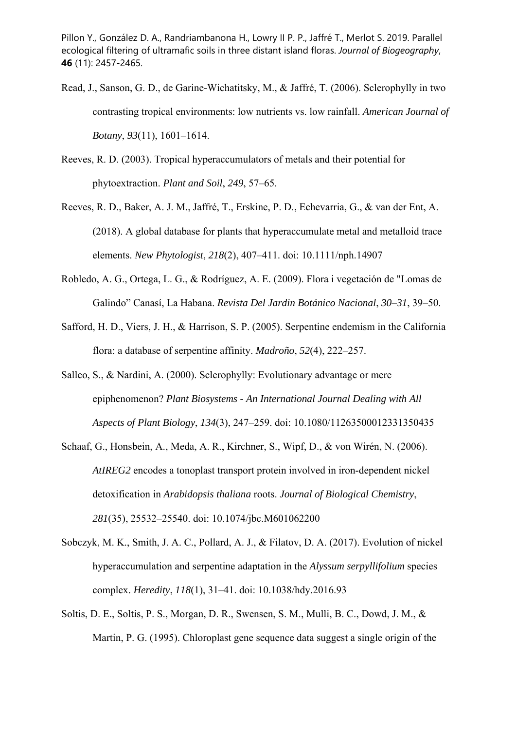- Read, J., Sanson, G. D., de Garine-Wichatitsky, M., & Jaffré, T. (2006). Sclerophylly in two contrasting tropical environments: low nutrients vs. low rainfall. *American Journal of Botany*, *93*(11), 1601–1614.
- Reeves, R. D. (2003). Tropical hyperaccumulators of metals and their potential for phytoextraction. *Plant and Soil*, *249*, 57–65.
- Reeves, R. D., Baker, A. J. M., Jaffré, T., Erskine, P. D., Echevarria, G., & van der Ent, A. (2018). A global database for plants that hyperaccumulate metal and metalloid trace elements. *New Phytologist*, *218*(2), 407–411. doi: 10.1111/nph.14907
- Robledo, A. G., Ortega, L. G., & Rodríguez, A. E. (2009). Flora i vegetación de "Lomas de Galindo" Canasí, La Habana. *Revista Del Jardin Botánico Nacional*, *30–31*, 39–50.
- Safford, H. D., Viers, J. H., & Harrison, S. P. (2005). Serpentine endemism in the California flora: a database of serpentine affinity. *Madroño*, *52*(4), 222–257.
- Salleo, S., & Nardini, A. (2000). Sclerophylly: Evolutionary advantage or mere epiphenomenon? *Plant Biosystems - An International Journal Dealing with All Aspects of Plant Biology*, *134*(3), 247–259. doi: 10.1080/11263500012331350435
- Schaaf, G., Honsbein, A., Meda, A. R., Kirchner, S., Wipf, D., & von Wirén, N. (2006). *AtIREG2* encodes a tonoplast transport protein involved in iron-dependent nickel detoxification in *Arabidopsis thaliana* roots. *Journal of Biological Chemistry*, *281*(35), 25532–25540. doi: 10.1074/jbc.M601062200
- Sobczyk, M. K., Smith, J. A. C., Pollard, A. J., & Filatov, D. A. (2017). Evolution of nickel hyperaccumulation and serpentine adaptation in the *Alyssum serpyllifolium* species complex. *Heredity*, *118*(1), 31–41. doi: 10.1038/hdy.2016.93
- Soltis, D. E., Soltis, P. S., Morgan, D. R., Swensen, S. M., Mulli, B. C., Dowd, J. M., & Martin, P. G. (1995). Chloroplast gene sequence data suggest a single origin of the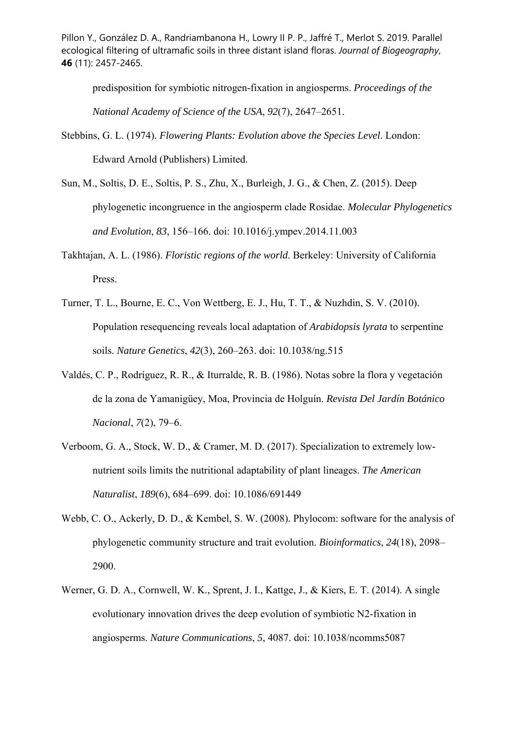predisposition for symbiotic nitrogen-fixation in angiosperms. *Proceedings of the National Academy of Science of the USA*, *92*(7), 2647–2651.

- Stebbins, G. L. (1974). *Flowering Plants: Evolution above the Species Level*. London: Edward Arnold (Publishers) Limited.
- Sun, M., Soltis, D. E., Soltis, P. S., Zhu, X., Burleigh, J. G., & Chen, Z. (2015). Deep phylogenetic incongruence in the angiosperm clade Rosidae. *Molecular Phylogenetics and Evolution*, *83*, 156–166. doi: 10.1016/j.ympev.2014.11.003
- Takhtajan, A. L. (1986). *Floristic regions of the world*. Berkeley: University of California Press.
- Turner, T. L., Bourne, E. C., Von Wettberg, E. J., Hu, T. T., & Nuzhdin, S. V. (2010). Population resequencing reveals local adaptation of *Arabidopsis lyrata* to serpentine soils. *Nature Genetics*, *42*(3), 260–263. doi: 10.1038/ng.515
- Valdés, C. P., Rodríguez, R. R., & Iturralde, R. B. (1986). Notas sobre la flora y vegetación de la zona de Yamanigüey, Moa, Provincia de Holguín. *Revista Del Jardín Botánico Nacional*, *7*(2), 79–6.
- Verboom, G. A., Stock, W. D., & Cramer, M. D. (2017). Specialization to extremely lownutrient soils limits the nutritional adaptability of plant lineages. *The American Naturalist*, *189*(6), 684–699. doi: 10.1086/691449
- Webb, C. O., Ackerly, D. D., & Kembel, S. W. (2008). Phylocom: software for the analysis of phylogenetic community structure and trait evolution. *Bioinformatics*, *24*(18), 2098– 2900.
- Werner, G. D. A., Cornwell, W. K., Sprent, J. I., Kattge, J., & Kiers, E. T. (2014). A single evolutionary innovation drives the deep evolution of symbiotic N2-fixation in angiosperms. *Nature Communications*, *5*, 4087. doi: 10.1038/ncomms5087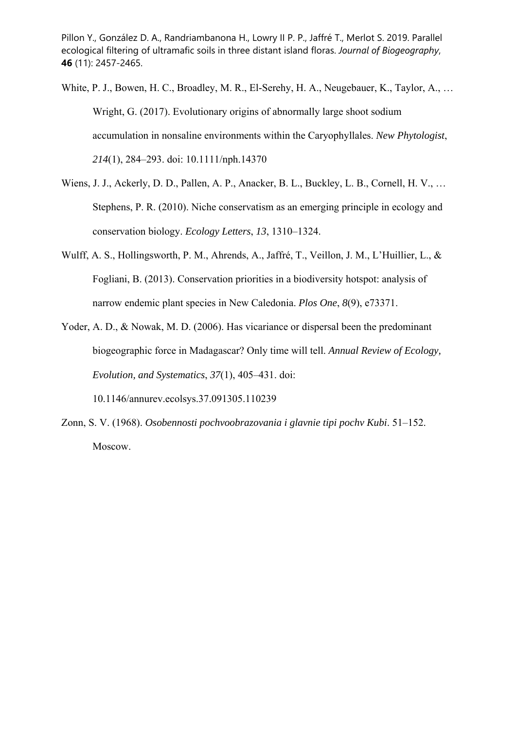White, P. J., Bowen, H. C., Broadley, M. R., El-Serehy, H. A., Neugebauer, K., Taylor, A., … Wright, G. (2017). Evolutionary origins of abnormally large shoot sodium accumulation in nonsaline environments within the Caryophyllales. *New Phytologist*, *214*(1), 284–293. doi: 10.1111/nph.14370

Wiens, J. J., Ackerly, D. D., Pallen, A. P., Anacker, B. L., Buckley, L. B., Cornell, H. V., … Stephens, P. R. (2010). Niche conservatism as an emerging principle in ecology and conservation biology. *Ecology Letters*, *13*, 1310–1324.

- Wulff, A. S., Hollingsworth, P. M., Ahrends, A., Jaffré, T., Veillon, J. M., L'Huillier, L., & Fogliani, B. (2013). Conservation priorities in a biodiversity hotspot: analysis of narrow endemic plant species in New Caledonia. *Plos One*, *8*(9), e73371.
- Yoder, A. D., & Nowak, M. D. (2006). Has vicariance or dispersal been the predominant biogeographic force in Madagascar? Only time will tell. *Annual Review of Ecology, Evolution, and Systematics*, *37*(1), 405–431. doi: 10.1146/annurev.ecolsys.37.091305.110239
- Zonn, S. V. (1968). *Osobennosti pochvoobrazovania i glavnie tipi pochv Kubi*. 51–152. Moscow.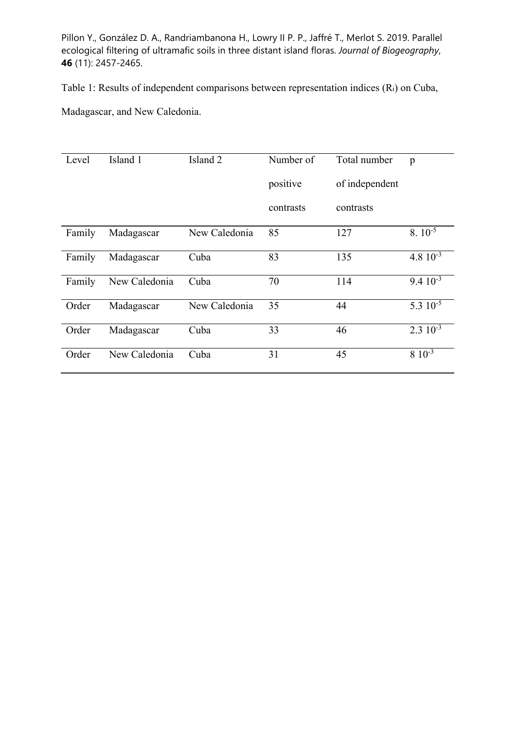Table 1: Results of independent comparisons between representation indices (Ri) on Cuba,

Madagascar, and New Caledonia.

| Level  | Island 1      | Island <sub>2</sub> | Number of | Total number   | p                |
|--------|---------------|---------------------|-----------|----------------|------------------|
|        |               |                     | positive  | of independent |                  |
|        |               |                     | contrasts | contrasts      |                  |
| Family | Madagascar    | New Caledonia       | 85        | 127            | $8.10^{-5}$      |
| Family | Madagascar    | Cuba                | 83        | 135            | 4.8 $10^{-3}$    |
| Family | New Caledonia | Cuba                | 70        | 114            | $9.4 \, 10^{-3}$ |
| Order  | Madagascar    | New Caledonia       | 35        | 44             | 5.3 $10^{-5}$    |
| Order  | Madagascar    | Cuba                | 33        | 46             | $2.3 \, 10^{-3}$ |
| Order  | New Caledonia | Cuba                | 31        | 45             | $8\;10^{-3}$     |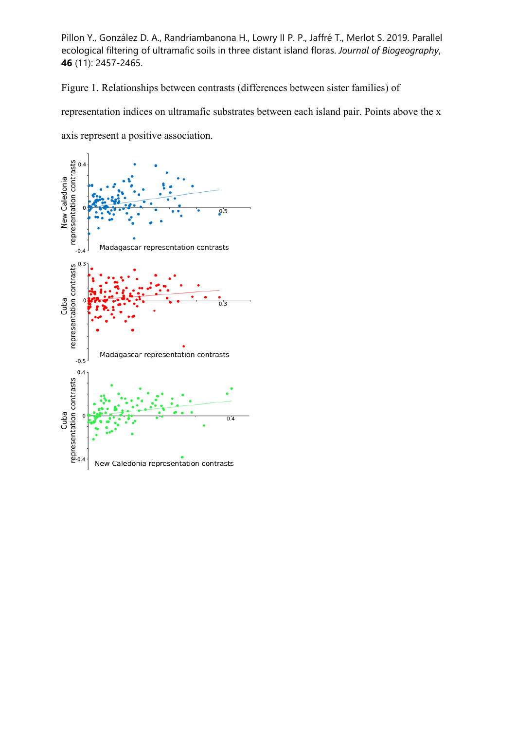Figure 1. Relationships between contrasts (differences between sister families) of

representation indices on ultramafic substrates between each island pair. Points above the x

axis represent a positive association.

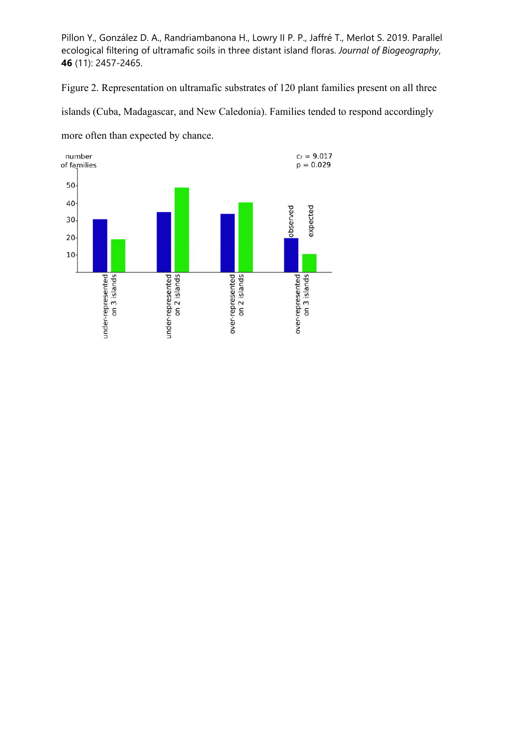Figure 2. Representation on ultramafic substrates of 120 plant families present on all three islands (Cuba, Madagascar, and New Caledonia). Families tended to respond accordingly more often than expected by chance.